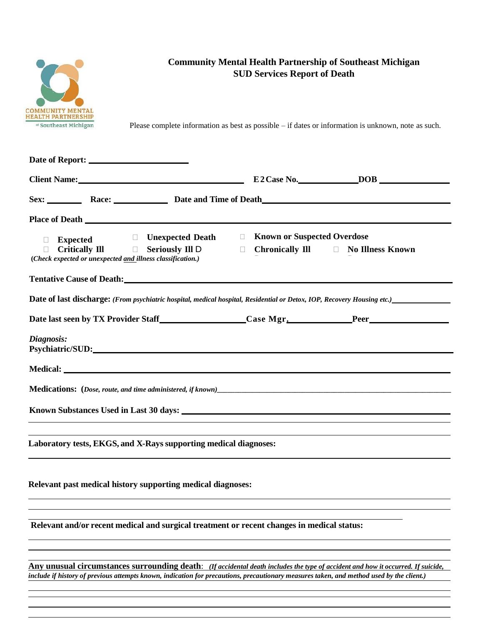

## **Community Mental Health Partnership of Southeast Michigan SUD Services Report of Death**

Please complete information as best as possible – if dates or information is unknown, note as such.

| Client Name: Name and Solid Report of the Client Name of the Client Community of the Client Community of the C                                                                                                                       |                                                                        |  |
|--------------------------------------------------------------------------------------------------------------------------------------------------------------------------------------------------------------------------------------|------------------------------------------------------------------------|--|
| Sex: <u>____________</u> Race: ________________ Date and Time of Death                                                                                                                                                               |                                                                        |  |
|                                                                                                                                                                                                                                      |                                                                        |  |
| $\Box$ Unexpected Death<br>$\Box$<br><b>Expected</b><br>$\Box$<br>Critically III D Seriously III D<br>$\Box$<br>$\Box$<br>(Check expected or unexpected and illness classification.)                                                 | <b>Known or Suspected Overdose</b><br>Chronically Ill No Illness Known |  |
| <b>Tentative Cause of Death:</b> The Contract of Security 2014 12:00 12:00 12:00 12:00 12:00 12:00 12:00 12:00 12:00 12:00 12:00 12:00 12:00 12:00 12:00 12:00 12:00 12:00 12:00 12:00 12:00 12:00 12:00 12:00 12:00 12:00 12:00 12  |                                                                        |  |
| <b>Date of last discharge:</b> (From psychiatric hospital, medical hospital, Residential or Detox, IOP, Recovery Housing etc.)                                                                                                       |                                                                        |  |
| Date last seen by TX Provider Staff Case Mgr. Peer                                                                                                                                                                                   |                                                                        |  |
| Diagnosis:<br>Psychiatric/SUD:                                                                                                                                                                                                       |                                                                        |  |
| Medical: <u>New York: New York: New York: New York: New York: New York: New York: New York: New York: New York: New York: New York: New York: New York: New York: New York: New York: New York: New York: New York: New York: Ne</u> |                                                                        |  |
|                                                                                                                                                                                                                                      |                                                                        |  |
|                                                                                                                                                                                                                                      |                                                                        |  |
| Laboratory tests, EKGS, and X-Rays supporting medical diagnoses:                                                                                                                                                                     |                                                                        |  |
| Relevant past medical history supporting medical diagnoses:                                                                                                                                                                          |                                                                        |  |
|                                                                                                                                                                                                                                      |                                                                        |  |
| Relevant and/or recent medical and surgical treatment or recent changes in medical status:                                                                                                                                           |                                                                        |  |
|                                                                                                                                                                                                                                      |                                                                        |  |
| Any unusual circumstances surrounding death: (If accidental death includes the type of accident and how it occurred. If suicide,                                                                                                     |                                                                        |  |

include if history of previous attempts known, indication for precautions, precautionary measures taken, and method used by the client.)